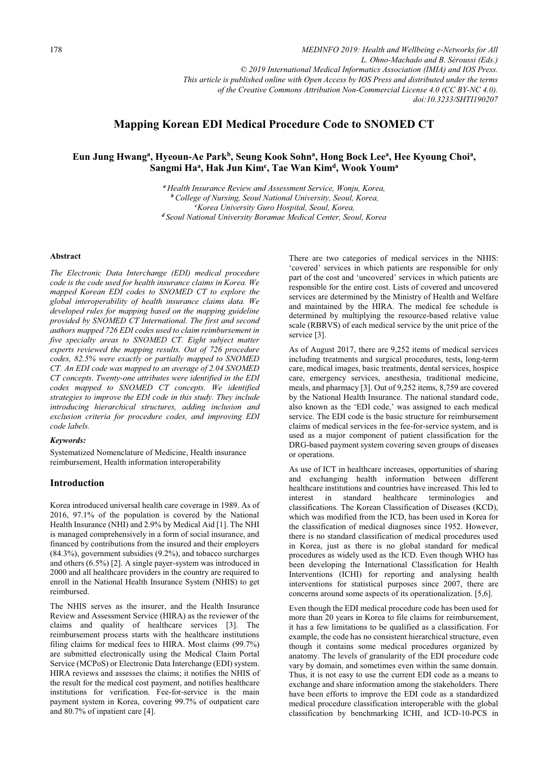*MEDINFO 2019: Health and Wellbeing e-Networks for All L. Ohno-Machado and B. Séroussi (Eds.) © 2019 International Medical Informatics Association (IMIA) and IOS Press. This article is published online with Open Access by IOS Press and distributed under the terms of the Creative Commons Attribution Non-Commercial License 4.0 (CC BY-NC 4.0). doi:10.3233/SHTI190207*

# **Mapping Korean EDI Medical Procedure Code to SNOMED CT**

# Eun Jung Hwang<sup>a</sup>, Hyeoun-Ae Park<sup>b</sup>, Seung Kook Sohn<sup>a</sup>, Hong Bock Lee<sup>a</sup>, Hee Kyoung Choi<sup>a</sup>, **Sangmi Haa, Hak Jun Kimc , Tae Wan Kimd, Wook Youma**

a Health Insurance Review and Assessment Service, Wonju, Korea,<br>b College of Nursing, Seoul National University, Seoul, Korea,<br>e Korea University Guro Hospital, Seoul, Korea,<br>d Seoul National University Boramae Medical Cen

#### **Abstract**

*The Electronic Data Interchange (EDI) medical procedure code is the code used for health insurance claims in Korea. We mapped Korean EDI codes to SNOMED CT to explore the global interoperability of health insurance claims data. We developed rules for mapping based on the mapping guideline provided by SNOMED CT International. The first and second authors mapped 726 EDI codes used to claim reimbursement in five specialty areas to SNOMED CT. Eight subject matter experts reviewed the mapping results. Out of 726 procedure codes, 82.5% were exactly or partially mapped to SNOMED CT. An EDI code was mapped to an average of 2.04 SNOMED CT concepts. Twenty-one attributes were identified in the EDI codes mapped to SNOMED CT concepts. We identified strategies to improve the EDI code in this study. They include introducing hierarchical structures, adding inclusion and exclusion criteria for procedure codes, and improving EDI code labels.* 

### *Keywords:*

Systematized Nomenclature of Medicine, Health insurance reimbursement, Health information interoperability

# **Introduction**

Korea introduced universal health care coverage in 1989. As of 2016, 97.1% of the population is covered by the National Health Insurance (NHI) and 2.9% by Medical Aid [1]. The NHI is managed comprehensively in a form of social insurance, and financed by contributions from the insured and their employers (84.3%), government subsidies (9.2%), and tobacco surcharges and others (6.5%) [2]. A single payer-system was introduced in 2000 and all healthcare providers in the country are required to enroll in the National Health Insurance System (NHIS) to get reimbursed.

The NHIS serves as the insurer, and the Health Insurance Review and Assessment Service (HIRA) as the reviewer of the claims and quality of healthcare services [3]. The reimbursement process starts with the healthcare institutions filing claims for medical fees to HIRA. Most claims (99.7%) are submitted electronically using the Medical Claim Portal Service (MCPoS) or Electronic Data Interchange (EDI) system. HIRA reviews and assesses the claims; it notifies the NHIS of the result for the medical cost payment, and notifies healthcare institutions for verification. Fee-for-service is the main payment system in Korea, covering 99.7% of outpatient care and 80.7% of inpatient care [4].

There are two categories of medical services in the NHIS: 'covered' services in which patients are responsible for only part of the cost and 'uncovered' services in which patients are responsible for the entire cost. Lists of covered and uncovered services are determined by the Ministry of Health and Welfare and maintained by the HIRA. The medical fee schedule is determined by multiplying the resource-based relative value scale (RBRVS) of each medical service by the unit price of the service [3].

As of August 2017, there are 9,252 items of medical services including treatments and surgical procedures, tests, long-term care, medical images, basic treatments, dental services, hospice care, emergency services, anesthesia, traditional medicine, meals, and pharmacy [3]. Out of 9,252 items, 8,759 are covered by the National Health Insurance. The national standard code, also known as the 'EDI code,' was assigned to each medical service. The EDI code is the basic structure for reimbursement claims of medical services in the fee-for-service system, and is used as a major component of patient classification for the DRG-based payment system covering seven groups of diseases or operations.

As use of ICT in healthcare increases, opportunities of sharing and exchanging health information between different healthcare institutions and countries have increased. This led to in standard healthcare terminologies and classifications. The Korean Classification of Diseases (KCD), which was modified from the ICD, has been used in Korea for the classification of medical diagnoses since 1952. However, there is no standard classification of medical procedures used in Korea, just as there is no global standard for medical procedures as widely used as the ICD. Even though WHO has been developing the International Classification for Health Interventions (ICHI) for reporting and analysing health interventions for statistical purposes since 2007, there are concerns around some aspects of its operationalization. [5,6].

Even though the EDI medical procedure code has been used for more than 20 years in Korea to file claims for reimbursement, it has a few limitations to be qualified as a classification. For example, the code has no consistent hierarchical structure, even though it contains some medical procedures organized by anatomy. The levels of granularity of the EDI procedure code vary by domain, and sometimes even within the same domain. Thus, it is not easy to use the current EDI code as a means to exchange and share information among the stakeholders. There have been efforts to improve the EDI code as a standardized medical procedure classification interoperable with the global classification by benchmarking ICHI, and ICD-10-PCS in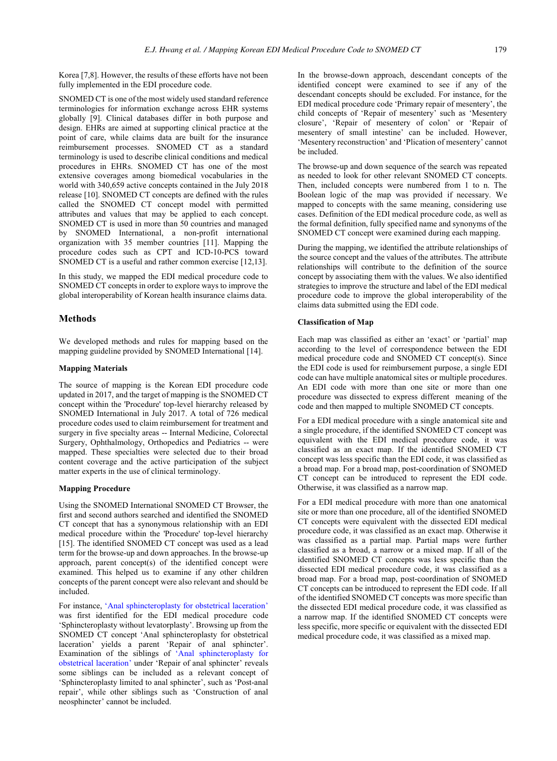Korea [7,8]. However, the results of these efforts have not been fully implemented in the EDI procedure code.

SNOMED CT is one of the most widely used standard reference terminologies for information exchange across EHR systems globally [9]. Clinical databases differ in both purpose and design. EHRs are aimed at supporting clinical practice at the point of care, while claims data are built for the insurance reimbursement processes. SNOMED CT as a standard terminology is used to describe clinical conditions and medical procedures in EHRs. SNOMED CT has one of the most extensive coverages among biomedical vocabularies in the world with 340,659 active concepts contained in the July 2018 release [10]. SNOMED CT concepts are defined with the rules called the SNOMED CT concept model with permitted attributes and values that may be applied to each concept. SNOMED CT is used in more than 50 countries and managed by SNOMED International, a non-profit international organization with 35 member countries [11]. Mapping the procedure codes such as CPT and ICD-10-PCS toward SNOMED CT is a useful and rather common exercise [12,13].

In this study, we mapped the EDI medical procedure code to SNOMED CT concepts in order to explore ways to improve the global interoperability of Korean health insurance claims data.

# **Methods**

We developed methods and rules for mapping based on the mapping guideline provided by SNOMED International [14].

### **Mapping Materials**

The source of mapping is the Korean EDI procedure code updated in 2017, and the target of mapping is the SNOMED CT concept within the 'Procedure' top-level hierarchy released by SNOMED International in July 2017. A total of 726 medical procedure codes used to claim reimbursement for treatment and surgery in five specialty areas -- Internal Medicine, Colorectal Surgery, Ophthalmology, Orthopedics and Pediatrics -- were mapped. These specialties were selected due to their broad content coverage and the active participation of the subject matter experts in the use of clinical terminology.

### **Mapping Pr[ocedure](javascript:void(0);)**

Using the SNOMED International SNOMED CT Browser, the first and second authors searched and identified the SNOMED CT concept that has a synonymous relationship with an EDI medical procedure within the 'Procedure' top-level hierarchy [15]. The identified SNOMED CT [concept was used as a lead](javascript:void(0);)  [term for the browse-up](javascript:void(0);) and down approaches. In the browse-up approach, parent concept(s) of the identified concept were examined. This helped us to examine if any other children concepts of the parent concept were also relevant and should be included.

For instance, 'Anal sphincteroplasty for obstetrical laceration' was first identified for the EDI medical procedure code 'Sphincteroplasty without levatorplasty'. Browsing up from the SNOMED CT concept 'Anal sphincteroplasty for obstetrical laceration' yields a parent 'Repair of anal sphincter'. Examination of the siblings of 'Anal sphincteroplasty for obstetrical laceration' under 'Repair of anal sphincter' reveals some siblings can be included as a relevant concept of 'Sphincteroplasty limited to anal sphincter', such as 'Post-anal repair', while other siblings such as 'Construction of anal neosphincter' cannot be included.

In the browse-down approach, descendant concepts of the identified concept were examined to see if any of the descendant concepts should be excluded. For instance, for the EDI medical procedure code 'Primary repair of mesentery', the child concepts of 'Repair of mesentery' such as 'Mesentery closure', 'Repair of mesentery of colon' or 'Repair of mesentery of small intestine' can be included. However, 'Mesentery reconstruction' and 'Plication of mesentery' cannot be included.

The browse-up and down sequence of the search was repeated as needed to look for other relevant SNOMED CT concepts. Then, included concepts were numbered from 1 to n. The Boolean logic of the map was provided if necessary. We mapped to concepts with the same meaning, considering use cases. Definition of the EDI medical procedure code, as well as the formal definition, fully specified name and synonyms of the SNOMED CT concept were examined during each mapping.

During the mapping, we identified the attribute relationships of the source concept and the values of the attributes. The attribute relationships will contribute to the definition of the source concept by associating them with the values. We also identified strategies to improve the structure and label of the EDI medical procedure code to improve the global interoperability of the claims data submitted using the EDI code.

#### **Classification of Map**

Each map was classified as either an 'exact' or 'partial' map according to the level of correspondence between the EDI medical procedure code and SNOMED CT concept(s). Since the EDI code is used for reimbursement purpose, a single EDI code can have multiple anatomical sites or multiple procedures. An EDI code with more than one site or more than one procedure was dissected to express different meaning of the code and then mapped to multiple SNOMED CT concepts.

For a EDI medical procedure with a single anatomical site and a single procedure, if the identified SNOMED CT concept was equivalent with the EDI medical procedure code, it was classified as an exact map. If the identified SNOMED CT concept was less specific than the EDI code, it was classified as a broad map. For a broad map, post-coordination of SNOMED CT concept can be introduced to represent the EDI code. Otherwise, it was classified as a narrow map.

For a EDI medical procedure with more than one anatomical site or more than one procedure, all of the identified SNOMED CT concepts were equivalent with the dissected EDI medical procedure code, it was classified as an exact map. Otherwise it was classified as a partial map. Partial maps were further classified as a broad, a narrow or a mixed map. If all of the identified SNOMED CT concepts was less specific than the dissected EDI medical procedure code, it was classified as a broad map. For a broad map, post-coordination of SNOMED CT concepts can be introduced to represent the EDI code. If all of the identified SNOMED CT concepts was more specific than the dissected EDI medical procedure code, it was classified as a narrow map. If the identified SNOMED CT concepts were less specific, more specific or equivalent with the dissected EDI medical procedure code, it was classified as a mixed map.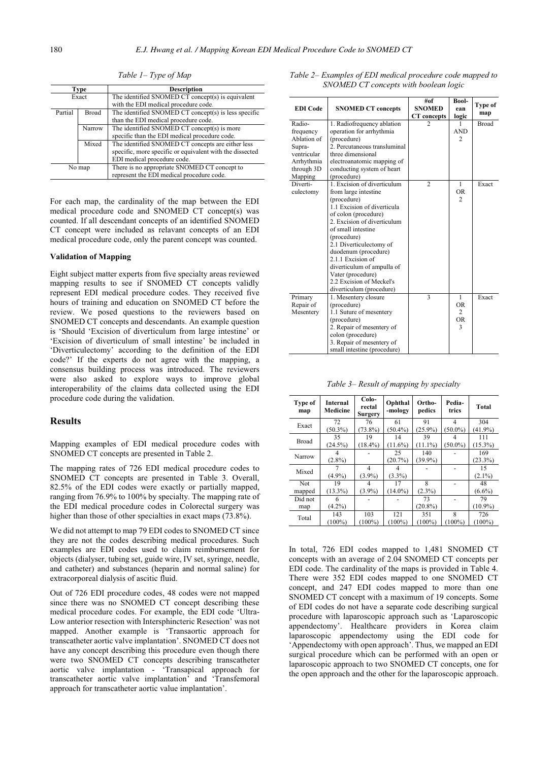| <b>Type</b> |        | <b>Description</b>                                       |
|-------------|--------|----------------------------------------------------------|
| Exact       |        | The identified SNOMED CT concept(s) is equivalent        |
|             |        | with the EDI medical procedure code.                     |
| Partial     | Broad  | The identified SNOMED CT concept(s) is less specific     |
|             |        | than the EDI medical procedure code.                     |
|             | Narrow | The identified SNOMED CT concept(s) is more              |
|             |        | specific than the EDI medical procedure code.            |
|             | Mixed  | The identified SNOMED CT concepts are either less        |
|             |        | specific, more specific or equivalent with the dissected |
|             |        | EDI medical procedure code.                              |
| No map      |        | There is no appropriate SNOMED CT concept to             |
|             |        | represent the EDI medical procedure code.                |

*Table 1– Type of Map* 

For each map, the cardinality of the map between the EDI medical procedure code and SNOMED CT concept(s) was counted. If all descendant concepts of an identified SNOMED CT concept were included as relavant concepts of an EDI medical procedure code, only the parent concept was counted.

## **Validation of Mapping**

Eight subject matter experts from five specialty areas reviewed mapping results to see if SNOMED CT concepts validly represent EDI medical procedure codes. They received five hours of training and education on SNOMED CT before the review. We posed questions to the reviewers based on SNOMED CT concepts and descendants. An example question is 'Should 'Excision of diverticulum from large intestine' or 'Excision of diverticulum of small intestine' be included in 'Diverticulectomy' according to the definition of the EDI code?' If the experts do not agree with the mapping, a consensus building process was introduced. The reviewers were also asked to explore ways to improve global interoperability of the claims data collected using the EDI procedure code during the validation.

#### **Results**

Mapping examples of EDI medical procedure codes with SNOMED CT concepts are presented in Table 2.

The mapping rates of 726 EDI medical procedure codes to SNOMED CT concepts are presented in Table 3. Overall, 82.5% of the EDI codes were exactly or partially mapped, ranging from 76.9% to 100% by specialty. The mapping rate of the EDI medical procedure codes in Colorectal surgery was higher than those of other specialties in exact maps (73.8%).

We did not attempt to map 79 EDI codes to SNOMED CT since they are not the codes describing medical procedures. Such examples are EDI codes used to claim reimbursement for objects (dialyser, tubing set, guide wire, IV set, syringe, needle, and catheter) and substances (heparin and normal saline) for extracorporeal dialysis of ascitic fluid.

Out of 726 EDI procedure codes, 48 codes were not mapped since there was no SNOMED CT concept describing these medical procedure codes. For example, the EDI code 'Ultra-Low anterior resection with Intersphincteric Resection' was not mapped. Another example is 'Transaortic approach for transcatheter aortic valve implantation'. SNOMED CT does not have any concept describing this procedure even though there were two SNOMED CT concepts describing transcatheter aortic valve implantation - 'Transapical approach for transcatheter aortic valve implantation' and 'Transfemoral approach for transcatheter aortic value implantation'.

| <b>EDI</b> Code | <b>SNOMED CT concepts</b>    | #of<br><b>SNOMED</b> | Bool-<br>ean              | Type of      |
|-----------------|------------------------------|----------------------|---------------------------|--------------|
|                 |                              | CT concepts          | logic                     | map          |
| Radio-          | 1. Radiofrequency ablation   | 2                    | 1                         | <b>Broad</b> |
| frequency       | operation for arrhythmia     |                      | <b>AND</b>                |              |
| Ablation of     | (procedure)                  |                      | $\overline{c}$            |              |
| Supra-          | 2. Percutaneous transluminal |                      |                           |              |
| ventricular     | three dimensional            |                      |                           |              |
| Arrhythmia      | electroanatomic mapping of   |                      |                           |              |
| through 3D      | conducting system of heart   |                      |                           |              |
| Mapping         | (procedure)                  |                      |                           |              |
| Diverti-        | 1. Excision of diverticulum  | $\overline{c}$       | $\mathbf{1}$              | Exact        |
| culectomy       | from large intestine         |                      | <b>OR</b>                 |              |
|                 | (procedure)                  |                      | $\overline{c}$            |              |
|                 | 1.1 Excision of diverticula  |                      |                           |              |
|                 | of colon (procedure)         |                      |                           |              |
|                 | 2. Excision of diverticulum  |                      |                           |              |
|                 | of small intestine           |                      |                           |              |
|                 | (procedure)                  |                      |                           |              |
|                 | 2.1 Diverticulectomy of      |                      |                           |              |
|                 | duodenum (procedure)         |                      |                           |              |
|                 | 2.1.1 Excision of            |                      |                           |              |
|                 | diverticulum of ampulla of   |                      |                           |              |
|                 | Vater (procedure)            |                      |                           |              |
|                 | 2.2 Excision of Meckel's     |                      |                           |              |
|                 | diverticulum (procedure)     |                      |                           |              |
| Primary         | 1. Mesentery closure         | 3                    | 1<br><b>OR</b>            | Exact        |
| Repair of       | (procedure)                  |                      | 2                         |              |
| Mesentery       | 1.1 Suture of mesentery      |                      |                           |              |
|                 | (procedure)                  |                      | <b>OR</b><br>$\mathbf{3}$ |              |
|                 | 2. Repair of mesentery of    |                      |                           |              |
|                 | colon (procedure)            |                      |                           |              |
|                 | 3. Repair of mesentery of    |                      |                           |              |
|                 | small intestine (procedure)  |                      |                           |              |

*Table 2– Examples of EDI medical procedure code mapped to SNOMED CT concepts with boolean logic* 

*Table 3– Result of mapping by specialty* 

| Type of<br>map | Internal<br>Medicine | Colo-<br>rectal<br>Surgery | Ophthal<br>-mology | Ortho-<br>pedics | Pedia-<br>trics                            | Total      |
|----------------|----------------------|----------------------------|--------------------|------------------|--------------------------------------------|------------|
| Exact          | 72                   | 76                         | 61                 | 91               | $\overline{4}$                             | 304        |
|                | $(50.3\%)$           | $(73.8\%)$                 | $(50.4\%)$         | $(25.9\%)$       | $(50.0\%)$<br>$(50.0\%)$<br>8<br>$(100\%)$ | $(41.9\%)$ |
| <b>Broad</b>   | 35                   | 19                         | 14                 | 39               |                                            | 111        |
|                | $(24.5\%)$           | $(18.4\%)$                 | $(11.6\%)$         | $(11.1\%)$       |                                            | $(15.3\%)$ |
| Narrow         |                      |                            | 25                 | 140              |                                            | 169        |
|                | $(2.8\%)$            |                            | (20.7%)            | $(39.9\%)$       |                                            | $(23.3\%)$ |
| Mixed          |                      | $\overline{\mathcal{A}}$   |                    |                  |                                            | 15         |
|                | $(4.9\%)$            | $(3.9\%)$                  | $(3.3\%)$          |                  |                                            | $(2.1\%)$  |
| Not            | 19                   | 4                          | 17                 | 8                |                                            | 48         |
| mapped         | $(13.3\%)$           | $(3.9\%)$                  | $(14.0\%)$         | $(2.3\%)$        |                                            | $(6.6\%)$  |
| Did not        | 6                    |                            |                    | 73               |                                            | 79         |
| map            | $(4.2\%)$            |                            |                    | $(20.8\%)$       |                                            | $(10.9\%)$ |
|                | 143                  | 103                        | 121                | 351              |                                            | 726        |
| Total          | $(100\%)$            | $(100\%)$                  | $(100\%)$          | $100\%$          |                                            | $(100\%)$  |

In total, 726 EDI codes mapped to 1,481 SNOMED CT concepts with an average of 2.04 SNOMED CT concepts per EDI code. The cardinality of the maps is provided in Table 4. There were 352 EDI codes mapped to one SNOMED CT concept, and 247 EDI codes mapped to more than one SNOMED CT concept with a maximum of 19 concepts. Some of EDI codes do not have a separate code describing surgical procedure with laparoscopic approach such as 'Laparoscopic appendectomy'. Healthcare providers in Korea claim laparoscopic appendectomy using the EDI code for 'Appendectomy with open approach'. Thus, we mapped an EDI surgical procedure which can be performed with an open or laparoscopic approach to two SNOMED CT concepts, one for the open approach and the other for the laparoscopic approach.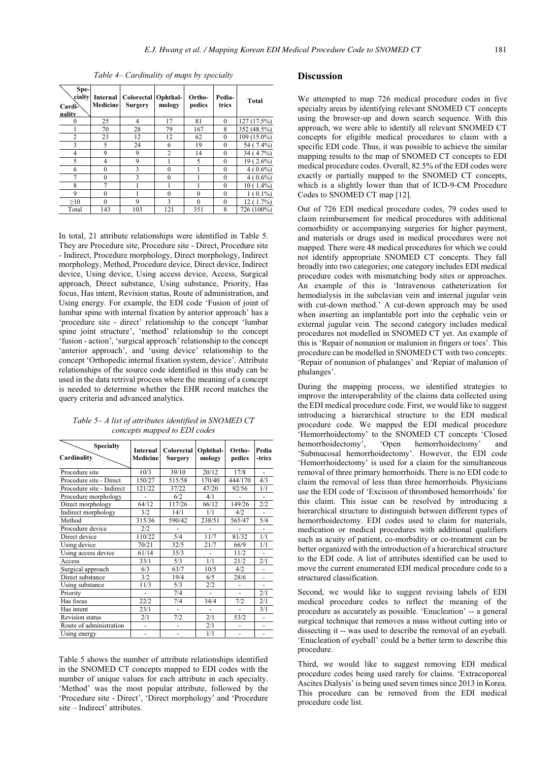| Spe-<br>cialty<br>Cardi <sup>2</sup><br>nality | Internal<br>Medicine | Colorectal Ophthal-<br>Surgery | mology         | Ortho-<br>pedics | Pedia-<br>trics | Total       |
|------------------------------------------------|----------------------|--------------------------------|----------------|------------------|-----------------|-------------|
| $\Omega$                                       | 25                   | 4                              | 17             | 81               | $\theta$        | 127(17.5%)  |
|                                                | 70                   | 28                             | 79             | 167              | 8               | 352 (48.5%) |
| 2                                              | 23                   | 12                             | 12             | 62               | $\theta$        | 109 (15.0%) |
| 3                                              | 5                    | 24                             | 6              | 19               | $\mathbf{0}$    | 54 (7.4%)   |
| 4                                              | 9                    | 9                              | $\overline{c}$ | 14               | $\theta$        | 34 (4.7%)   |
| 5                                              | 4                    | 9                              |                | 5                | $\theta$        | 19 (2.6%)   |
| 6                                              | $\theta$             | 3                              | $\Omega$       |                  | $\bf{0}$        | $4(0.6\%)$  |
| 7                                              | $\theta$             | 3                              | $\theta$       |                  | $\theta$        | $4(0.6\%)$  |
| 8                                              | 7                    |                                |                |                  | $\theta$        | $10(1.4\%)$ |
| 9                                              | $\theta$             |                                | $\Omega$       | $\Omega$         | $\bf{0}$        | $1(0.1\%)$  |
| $\geq 10$                                      | $\theta$             | 9                              | $\mathbf{3}$   | $\theta$         | $\theta$        | 12 (1.7%)   |
| Total                                          | 143                  | 103                            | 121            | 351              | 8               | 726 (100%)  |

*Table 4– Cardinality of maps by specialty* 

In total, 21 attribute relationships were identified in Table 5. They are Procedure site, Procedure site - Direct, Procedure site - Indirect, Procedure morphology, Direct morphology, Indirect morphology, Method, Procedure device, Direct device, Indirect device, Using device, Using access device, Access, Surgical approach, Direct substance, Using substance, Priority, Has focus, Has intent, Revision status, Route of administration, and Using energy. For example, the EDI code 'Fusion of joint of lumbar spine with internal fixation by anterior approach' has a 'procedure site - direct' relationship to the concept 'lumbar spine joint structure', 'method' relationship to the concept 'fusion - action', 'surgical approach' relationship to the concept 'anterior approach', and 'using device' relationship to the concept 'Orthopedic internal fixation system, device'. Attribute relationships of the source code identified in this study can be used in the data retrival process where the meaning of a concept is needed to determine whether the EHR record matches the query criteria and advanced analytics.

| <b>Specialty</b><br>Cardinality | Internal<br>Medicine | Colorectal<br><b>Surgery</b> | Ophthal-<br>mology | Ortho-<br>pedics | Pedia<br>-trics |
|---------------------------------|----------------------|------------------------------|--------------------|------------------|-----------------|
| Procedure site                  | 10/3                 | 39/10                        | 20/12              | 17/8             |                 |
| Procedure site - Direct         | 150/27               | 515/58                       | 170/40             | 444/170          | 4/3             |
| Procedure site - Indirect       | 121/22               | 37/22                        | 47/20              | 92/56            | 1/1             |
| Procedure morphology            |                      | 6/2                          | 4/1                |                  |                 |
| Direct morphology               | 64/12                | 117/26                       | 66/12              | 149/26           | 2/2             |
| Indirect morphology             | 3/2                  | 14/1                         | 1/1                | 4/2              |                 |
| Method                          | 315/36               | 590/42                       | 238/51             | 565/47           | 5/4             |
| Procedure device                | 2/2                  |                              |                    |                  | ٠               |
| Direct device                   | 110/22               | 5/4                          | 11/7               | 81/32            | 1/1             |
| Using device                    | 70/21                | 32/5                         | 21/7               | 66/9             | 1/1             |
| Using access device             | 61/14                | 35/3                         |                    | 11/2             |                 |
| Access                          | 33/1                 | 5/3                          | 1/1                | 21/2             | 2/1             |
| Surgical approach               | 6/3                  | 63/7                         | 10/5               | 4/2              |                 |
| Direct substance                | 3/2                  | 19/4                         | 6/5                | 28/6             |                 |
| Using substance                 | 11/3                 | 5/3                          | 2/2                |                  |                 |
| Priority                        |                      | 7/4                          |                    |                  | 2/1             |
| Has focus                       | 22/2                 | 7/4                          | 34/4               | 7/2              | 2/1             |
| Has intent                      | 23/1                 | ٠                            | ٠                  | ٠                | 3/1             |
| <b>Revision</b> status          | 2/1                  | 7/2                          | 2/1                | 53/2             | ٠               |
| Route of administration         | ٠                    | ٠                            | 2/1                |                  | ٠               |
| Using energy                    | ä,                   | ۰                            | 1/1                | ٠                | ۰               |

*Table 5– A list of attributes identified in SNOMED CT concepts mapped to EDI codes* 

Table 5 shows the number of attribute relationships identified in the SNOMED CT concepts mapped to EDI codes with the number of unique values for each attribute in each specialty. 'Method' was the most popular attribute, followed by the 'Procedure site - Direct', 'Direct morphology' and 'Procedure site – Indirect' attributes.

# **Discussion**

We attempted to map 726 medical procedure codes in five specialty areas by identifying relevant SNOMED CT concepts using the browser-up and down search sequence. With this approach, we were able to identify all relevant SNOMED CT concepts for eligible medical procedures to claim with a specific EDI code. Thus, it was possible to achieve the similar mapping results to the map of SNOMED CT concepts to EDI medical procedure codes. Overall, 82.5% of the EDI codes were exactly or partially mapped to the SNOMED CT concepts, which is a slightly lower than that of ICD-9-CM Procedure Codes to SNOMED CT map [12].

Out of 726 EDI medical procedure codes, 79 codes used to claim reimbursement for medical procedures with additional comorbidity or accompanying surgeries for higher payment, and materials or drugs used in medical procedures were not mapped. There were 48 medical procedures for which we could not identify appropriate SNOMED CT concepts. They fall broadly into two categories; one category includes EDI medical procedure codes with mismatching body sites or approaches. An example of this is 'Intravenous catheterization for hemodialysis in the subclavian vein and internal jugular vein with cut-down method.' A cut-down approach may be used when inserting an implantable port into the cephalic vein or external jugular vein. The second category includes medical procedures not modelled in SNOMED CT yet. An example of this is 'Repair of nonunion or malunion in fingers or toes'. This procedure can be modelled in SNOMED CT with two concepts: 'Repair of nonunion of phalanges' and 'Repiar of malunion of phalanges'.

During the mapping process, we identified strategies to improve the interoperability of the claims data collected using the EDI medical procedure code. First, we would like to suggest introducing a hierarchical structure to the EDI medical procedure code. We mapped the EDI medical procedure 'Hemorrhoidectomy' to the SNOMED CT concepts 'Closed<br>hemorrhoidectomy', 'Open hemorrhoidectomy' and hemorrhoidectomy' and 'Submucosal hemorrhoidectomy'. However, the EDI code 'Hemorrhoidectomy' is used for a claim for the simultaneous removal of three primary hemorrhoids. There is no EDI code to claim the removal of less than three hemorrhoids. Physicians use the EDI code of 'Excision of thrombosed hemorrhoids' for this claim. This issue can be resolved by introducing a hierarchical structure to distinguish between different types of hemorrhoidectomy. EDI codes used to claim for materials, medication or medical procedures with additional qualifiers such as acuity of patient, co-morbidity or co-treatment can be better organized with the introduction of a hierarchical structure to the EDI code. A list of attributes identified can be used to move the current enumerated EDI medical procedure code to a structured classification.

Second, we would like to suggest revising labels of EDI medical procedure codes to reflect the meaning of the procedure as accurately as possible. 'Enucleation' -- a general surgical technique that removes a mass without cutting into or dissecting it -- was used to describe the removal of an eyeball. 'Enucleation of eyeball' could be a better term to describe this procedure.

Third, we would like to suggest removing EDI medical procedure codes being used rarely for claims. 'Extracoporeal Ascites Dialysis' is being used seven times since 2013 in Korea. This procedure can be removed from the EDI medical procedure code list.